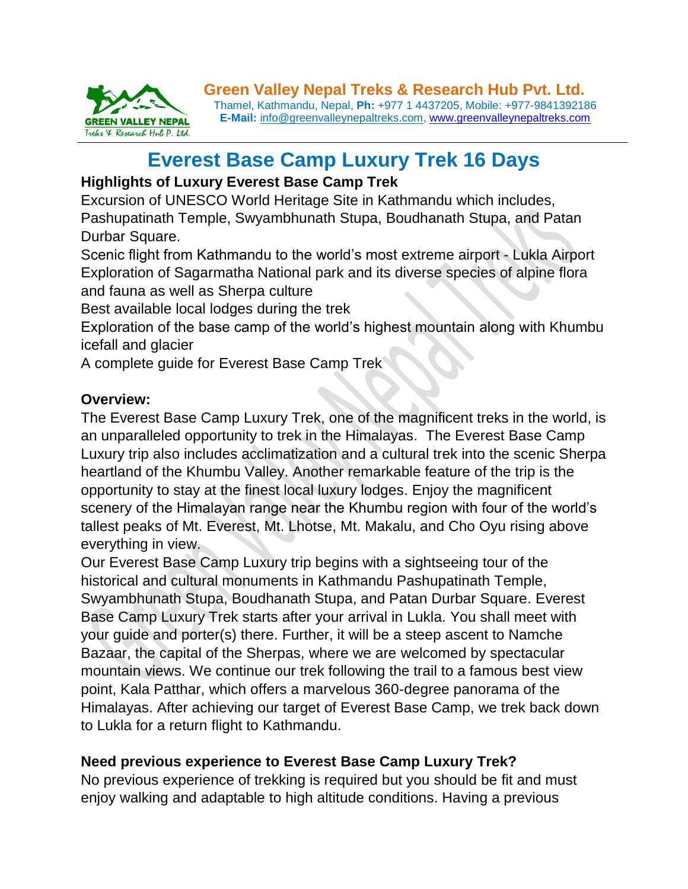

# **Everest Base Camp Luxury Trek 16 Days**

# **Highlights of Luxury Everest Base Camp Trek**

Excursion of UNESCO World Heritage Site in Kathmandu which includes, Pashupatinath Temple, Swyambhunath Stupa, Boudhanath Stupa, and Patan Durbar Square.

Scenic flight from Kathmandu to the world's most extreme airport - Lukla Airport Exploration of Sagarmatha National park and its diverse species of alpine flora and fauna as well as Sherpa culture

Best available local lodges during the trek

Exploration of the base camp of the world's highest mountain along with Khumbu icefall and glacier

A complete guide for Everest Base Camp Trek

# **Overview:**

The Everest Base Camp Luxury Trek, one of the magnificent treks in the world, is an unparalleled opportunity to trek in the Himalayas. The Everest Base Camp Luxury trip also includes acclimatization and a cultural trek into the scenic Sherpa heartland of the Khumbu Valley. Another remarkable feature of the trip is the opportunity to stay at the finest local luxury lodges. Enjoy the magnificent scenery of the Himalayan range near the Khumbu region with four of the world's tallest peaks of Mt. Everest, Mt. Lhotse, Mt. Makalu, and Cho Oyu rising above everything in view.

Our Everest Base Camp Luxury trip begins with a sightseeing tour of the historical and cultural monuments in Kathmandu Pashupatinath Temple, Swyambhunath Stupa, Boudhanath Stupa, and Patan Durbar Square. Everest Base Camp Luxury Trek starts after your arrival in Lukla. You shall meet with your guide and porter(s) there. Further, it will be a steep ascent to Namche Bazaar, the capital of the Sherpas, where we are welcomed by spectacular mountain views. We continue our trek following the trail to a famous best view point, Kala Patthar, which offers a marvelous 360-degree panorama of the Himalayas. After achieving our target of Everest Base Camp, we trek back down to Lukla for a return flight to Kathmandu.

# **Need previous experience to Everest Base Camp Luxury Trek?**

No previous experience of trekking is required but you should be fit and must enjoy walking and adaptable to high altitude conditions. Having a previous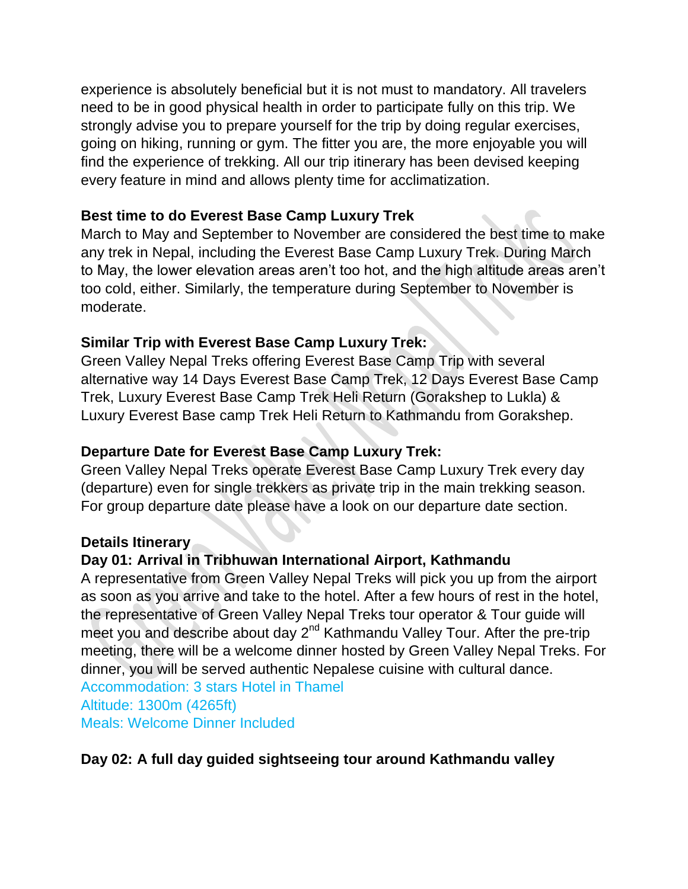experience is absolutely beneficial but it is not must to mandatory. All travelers need to be in good physical health in order to participate fully on this trip. We strongly advise you to prepare yourself for the trip by doing regular exercises, going on hiking, running or gym. The fitter you are, the more enjoyable you will find the experience of trekking. All our trip itinerary has been devised keeping every feature in mind and allows plenty time for acclimatization.

#### **Best time to do Everest Base Camp Luxury Trek**

March to May and September to November are considered the best time to make any trek in Nepal, including the Everest Base Camp Luxury Trek. During March to May, the lower elevation areas aren't too hot, and the high altitude areas aren't too cold, either. Similarly, the temperature during September to November is moderate.

#### **Similar Trip with Everest Base Camp Luxury Trek:**

Green Valley Nepal Treks offering Everest Base Camp Trip with several alternative way 14 Days Everest Base Camp Trek, 12 Days Everest Base Camp Trek, Luxury Everest Base Camp Trek Heli Return (Gorakshep to Lukla) & Luxury Everest Base camp Trek Heli Return to Kathmandu from Gorakshep.

#### **Departure Date for Everest Base Camp Luxury Trek:**

Green Valley Nepal Treks operate Everest Base Camp Luxury Trek every day (departure) even for single trekkers as private trip in the main trekking season. For group departure date please have a look on our departure date section.

#### **Details Itinerary**

## **Day 01: Arrival in Tribhuwan International Airport, Kathmandu**

A representative from Green Valley Nepal Treks will pick you up from the airport as soon as you arrive and take to the hotel. After a few hours of rest in the hotel, the representative of Green Valley Nepal Treks tour operator & Tour guide will meet you and describe about day 2<sup>nd</sup> Kathmandu Valley Tour. After the pre-trip meeting, there will be a welcome dinner hosted by Green Valley Nepal Treks. For dinner, you will be served authentic Nepalese cuisine with cultural dance. Accommodation: 3 stars Hotel in Thamel Altitude: 1300m (4265ft) Meals: Welcome Dinner Included

#### **Day 02: A full day guided sightseeing tour around Kathmandu valley**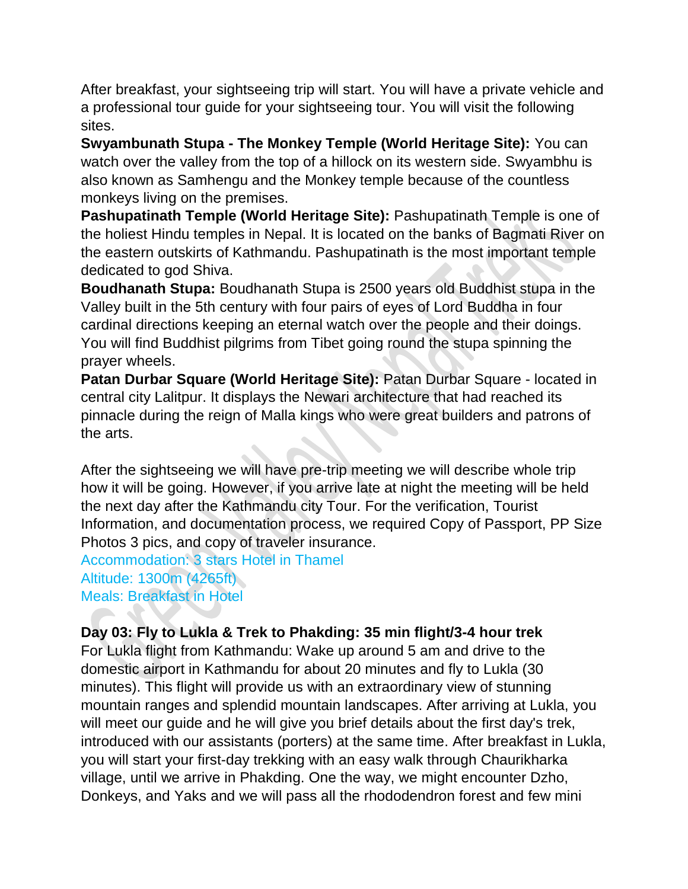After breakfast, your sightseeing trip will start. You will have a private vehicle and a professional tour guide for your sightseeing tour. You will visit the following sites.

**Swyambunath Stupa - The Monkey Temple (World Heritage Site):** You can watch over the valley from the top of a hillock on its western side. Swyambhu is also known as Samhengu and the Monkey temple because of the countless monkeys living on the premises.

**Pashupatinath Temple (World Heritage Site):** Pashupatinath Temple is one of the holiest Hindu temples in Nepal. It is located on the banks of Bagmati River on the eastern outskirts of Kathmandu. Pashupatinath is the most important temple dedicated to god Shiva.

**Boudhanath Stupa:** Boudhanath Stupa is 2500 years old Buddhist stupa in the Valley built in the 5th century with four pairs of eyes of Lord Buddha in four cardinal directions keeping an eternal watch over the people and their doings. You will find Buddhist pilgrims from Tibet going round the stupa spinning the prayer wheels.

**Patan Durbar Square (World Heritage Site):** Patan Durbar Square - located in central city Lalitpur. It displays the Newari architecture that had reached its pinnacle during the reign of Malla kings who were great builders and patrons of the arts.

After the sightseeing we will have pre-trip meeting we will describe whole trip how it will be going. However, if you arrive late at night the meeting will be held the next day after the Kathmandu city Tour. For the verification, Tourist Information, and documentation process, we required Copy of Passport, PP Size Photos 3 pics, and copy of traveler insurance.

Accommodation: 3 stars Hotel in Thamel Altitude: 1300m (4265ft) Meals: Breakfast in Hotel

# **Day 03: Fly to Lukla & Trek to Phakding: 35 min flight/3-4 hour trek**

For Lukla flight from Kathmandu: Wake up around 5 am and drive to the domestic airport in Kathmandu for about 20 minutes and fly to Lukla (30 minutes). This flight will provide us with an extraordinary view of stunning mountain ranges and splendid mountain landscapes. After arriving at Lukla, you will meet our guide and he will give you brief details about the first day's trek, introduced with our assistants (porters) at the same time. After breakfast in Lukla, you will start your first-day trekking with an easy walk through Chaurikharka village, until we arrive in Phakding. One the way, we might encounter Dzho, Donkeys, and Yaks and we will pass all the rhododendron forest and few mini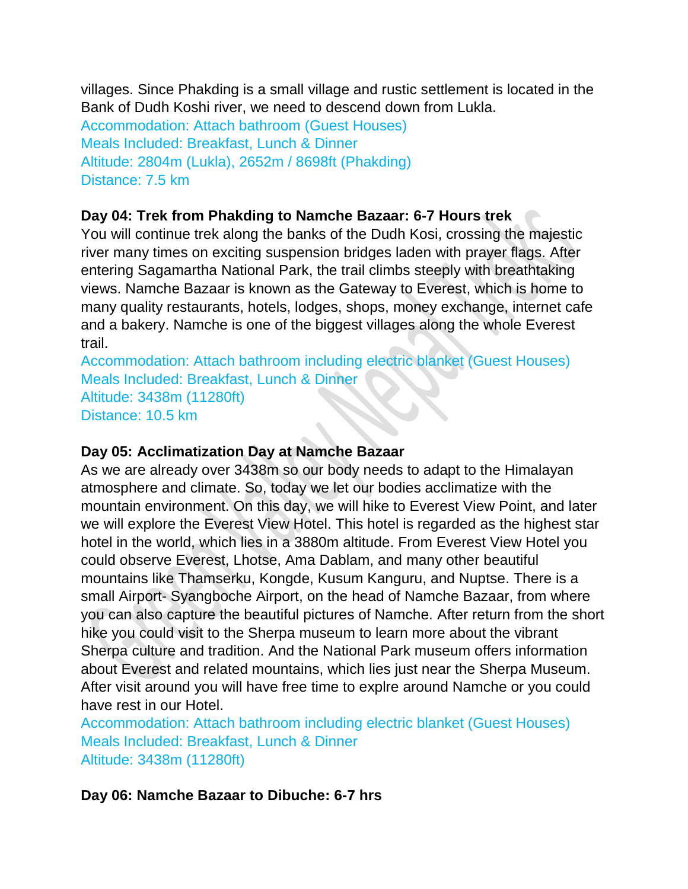villages. Since Phakding is a small village and rustic settlement is located in the Bank of Dudh Koshi river, we need to descend down from Lukla.

Accommodation: Attach bathroom (Guest Houses) Meals Included: Breakfast, Lunch & Dinner Altitude: 2804m (Lukla), 2652m / 8698ft (Phakding) Distance: 7.5 km

## **Day 04: Trek from Phakding to Namche Bazaar: 6-7 Hours trek**

You will continue trek along the banks of the Dudh Kosi, crossing the majestic river many times on exciting suspension bridges laden with prayer flags. After entering Sagamartha National Park, the trail climbs steeply with breathtaking views. Namche Bazaar is known as the Gateway to Everest, which is home to many quality restaurants, hotels, lodges, shops, money exchange, internet cafe and a bakery. Namche is one of the biggest villages along the whole Everest trail.

Accommodation: Attach bathroom including electric blanket (Guest Houses) Meals Included: Breakfast, Lunch & Dinner Altitude: 3438m (11280ft) Distance: 10.5 km

#### **Day 05: Acclimatization Day at Namche Bazaar**

As we are already over 3438m so our body needs to adapt to the Himalayan atmosphere and climate. So, today we let our bodies acclimatize with the mountain environment. On this day, we will hike to Everest View Point, and later we will explore the Everest View Hotel. This hotel is regarded as the highest star hotel in the world, which lies in a 3880m altitude. From Everest View Hotel you could observe Everest, Lhotse, Ama Dablam, and many other beautiful mountains like Thamserku, Kongde, Kusum Kanguru, and Nuptse. There is a small Airport- Syangboche Airport, on the head of Namche Bazaar, from where you can also capture the beautiful pictures of Namche. After return from the short hike you could visit to the Sherpa museum to learn more about the vibrant Sherpa culture and tradition. And the National Park museum offers information about Everest and related mountains, which lies just near the Sherpa Museum. After visit around you will have free time to explre around Namche or you could have rest in our Hotel.

Accommodation: Attach bathroom including electric blanket (Guest Houses) Meals Included: Breakfast, Lunch & Dinner Altitude: 3438m (11280ft)

**Day 06: Namche Bazaar to Dibuche: 6-7 hrs**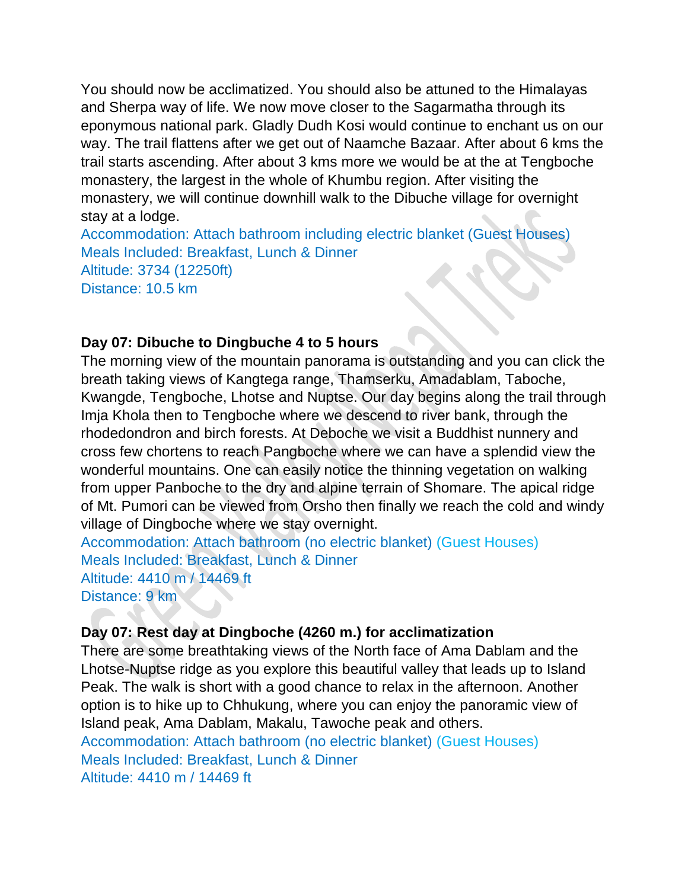You should now be acclimatized. You should also be attuned to the Himalayas and Sherpa way of life. We now move closer to the Sagarmatha through its eponymous national park. Gladly Dudh Kosi would continue to enchant us on our way. The trail flattens after we get out of Naamche Bazaar. After about 6 kms the trail starts ascending. After about 3 kms more we would be at the at Tengboche monastery, the largest in the whole of Khumbu region. After visiting the monastery, we will continue downhill walk to the Dibuche village for overnight stay at a lodge.

Accommodation: Attach bathroom including electric blanket (Guest Houses) Meals Included: Breakfast, Lunch & Dinner Altitude: 3734 (12250ft) Distance: 10.5 km

#### **Day 07: Dibuche to Dingbuche 4 to 5 hours**

The morning view of the mountain panorama is outstanding and you can click the breath taking views of Kangtega range, Thamserku, Amadablam, Taboche, Kwangde, Tengboche, Lhotse and Nuptse. Our day begins along the trail through Imja Khola then to Tengboche where we descend to river bank, through the rhodedondron and birch forests. At Deboche we visit a Buddhist nunnery and cross few chortens to reach Pangboche where we can have a splendid view the wonderful mountains. One can easily notice the thinning vegetation on walking from upper Panboche to the dry and alpine terrain of Shomare. The apical ridge of Mt. Pumori can be viewed from Orsho then finally we reach the cold and windy village of Dingboche where we stay overnight.

Accommodation: Attach bathroom (no electric blanket) (Guest Houses) Meals Included: Breakfast, Lunch & Dinner Altitude: 4410 m / 14469 ft Distance: 9 km

## **Day 07: Rest day at Dingboche (4260 m.) for acclimatization**

There are some breathtaking views of the North face of Ama Dablam and the Lhotse-Nuptse ridge as you explore this beautiful valley that leads up to Island Peak. The walk is short with a good chance to relax in the afternoon. Another option is to hike up to Chhukung, where you can enjoy the panoramic view of Island peak, Ama Dablam, Makalu, Tawoche peak and others. Accommodation: Attach bathroom (no electric blanket) (Guest Houses)

Meals Included: Breakfast, Lunch & Dinner Altitude: 4410 m / 14469 ft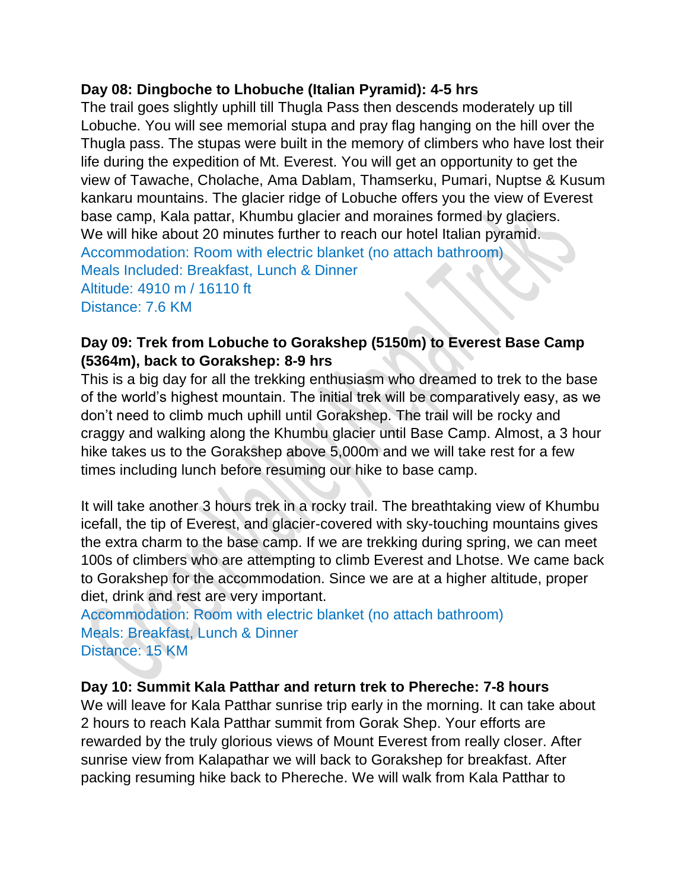#### **Day 08: Dingboche to Lhobuche (Italian Pyramid): 4-5 hrs**

The trail goes slightly uphill till Thugla Pass then descends moderately up till Lobuche. You will see memorial stupa and pray flag hanging on the hill over the Thugla pass. The stupas were built in the memory of climbers who have lost their life during the expedition of Mt. Everest. You will get an opportunity to get the view of Tawache, Cholache, Ama Dablam, Thamserku, Pumari, Nuptse & Kusum kankaru mountains. The glacier ridge of Lobuche offers you the view of Everest base camp, Kala pattar, Khumbu glacier and moraines formed by glaciers. We will hike about 20 minutes further to reach our hotel Italian pyramid. Accommodation: Room with electric blanket (no attach bathroom) Meals Included: Breakfast, Lunch & Dinner Altitude: 4910 m / 16110 ft Distance: 7.6 KM

### **Day 09: Trek from Lobuche to Gorakshep (5150m) to Everest Base Camp (5364m), back to Gorakshep: 8-9 hrs**

This is a big day for all the trekking enthusiasm who dreamed to trek to the base of the world's highest mountain. The initial trek will be comparatively easy, as we don't need to climb much uphill until Gorakshep. The trail will be rocky and craggy and walking along the Khumbu glacier until Base Camp. Almost, a 3 hour hike takes us to the Gorakshep above 5,000m and we will take rest for a few times including lunch before resuming our hike to base camp.

It will take another 3 hours trek in a rocky trail. The breathtaking view of Khumbu icefall, the tip of Everest, and glacier-covered with sky-touching mountains gives the extra charm to the base camp. If we are trekking during spring, we can meet 100s of climbers who are attempting to climb Everest and Lhotse. We came back to Gorakshep for the accommodation. Since we are at a higher altitude, proper diet, drink and rest are very important.

Accommodation: Room with electric blanket (no attach bathroom) Meals: Breakfast, Lunch & Dinner Distance: 15 KM

#### **Day 10: Summit Kala Patthar and return trek to Phereche: 7-8 hours**

We will leave for Kala Patthar sunrise trip early in the morning. It can take about 2 hours to reach Kala Patthar summit from Gorak Shep. Your efforts are rewarded by the truly glorious views of Mount Everest from really closer. After sunrise view from Kalapathar we will back to Gorakshep for breakfast. After packing resuming hike back to Phereche. We will walk from Kala Patthar to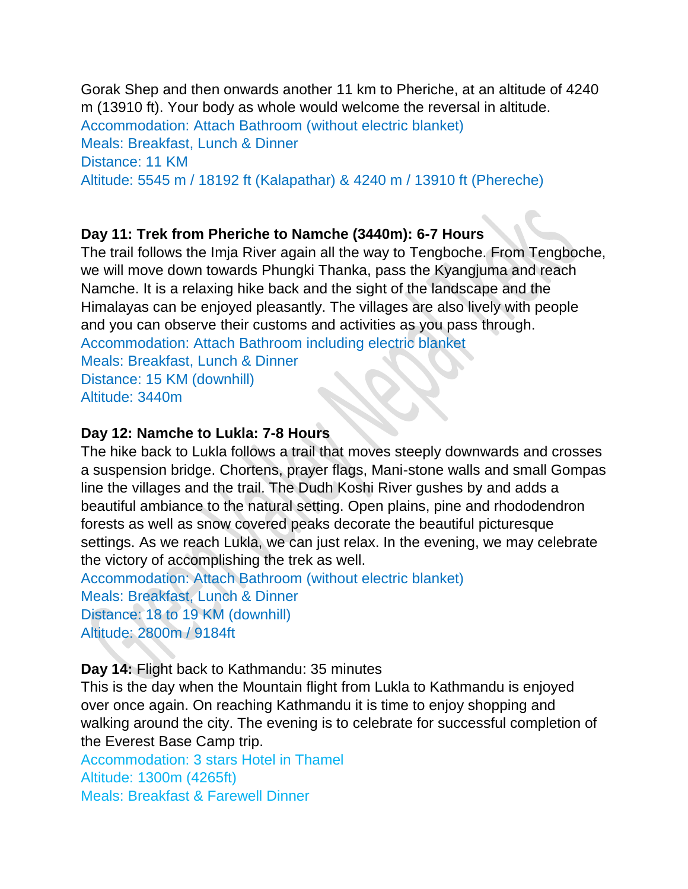Gorak Shep and then onwards another 11 km to Pheriche, at an altitude of 4240 m (13910 ft). Your body as whole would welcome the reversal in altitude. Accommodation: Attach Bathroom (without electric blanket) Meals: Breakfast, Lunch & Dinner Distance: 11 KM Altitude: 5545 m / 18192 ft (Kalapathar) & 4240 m / 13910 ft (Phereche)

## **Day 11: Trek from Pheriche to Namche (3440m): 6-7 Hours**

The trail follows the Imja River again all the way to Tengboche. From Tengboche, we will move down towards Phungki Thanka, pass the Kyangjuma and reach Namche. It is a relaxing hike back and the sight of the landscape and the Himalayas can be enjoyed pleasantly. The villages are also lively with people and you can observe their customs and activities as you pass through. Accommodation: Attach Bathroom including electric blanket Meals: Breakfast, Lunch & Dinner Distance: 15 KM (downhill) Altitude: 3440m

#### **Day 12: Namche to Lukla: 7-8 Hours**

The hike back to Lukla follows a trail that moves steeply downwards and crosses a suspension bridge. Chortens, prayer flags, Mani-stone walls and small Gompas line the villages and the trail. The Dudh Koshi River gushes by and adds a beautiful ambiance to the natural setting. Open plains, pine and rhododendron forests as well as snow covered peaks decorate the beautiful picturesque settings. As we reach Lukla, we can just relax. In the evening, we may celebrate the victory of accomplishing the trek as well.

Accommodation: Attach Bathroom (without electric blanket) Meals: Breakfast, Lunch & Dinner Distance: 18 to 19 KM (downhill) Altitude: 2800m / 9184ft

**Day 14:** Flight back to Kathmandu: 35 minutes

This is the day when the Mountain flight from Lukla to Kathmandu is enjoyed over once again. On reaching Kathmandu it is time to enjoy shopping and walking around the city. The evening is to celebrate for successful completion of the Everest Base Camp trip.

Accommodation: 3 stars Hotel in Thamel Altitude: 1300m (4265ft) Meals: Breakfast & Farewell Dinner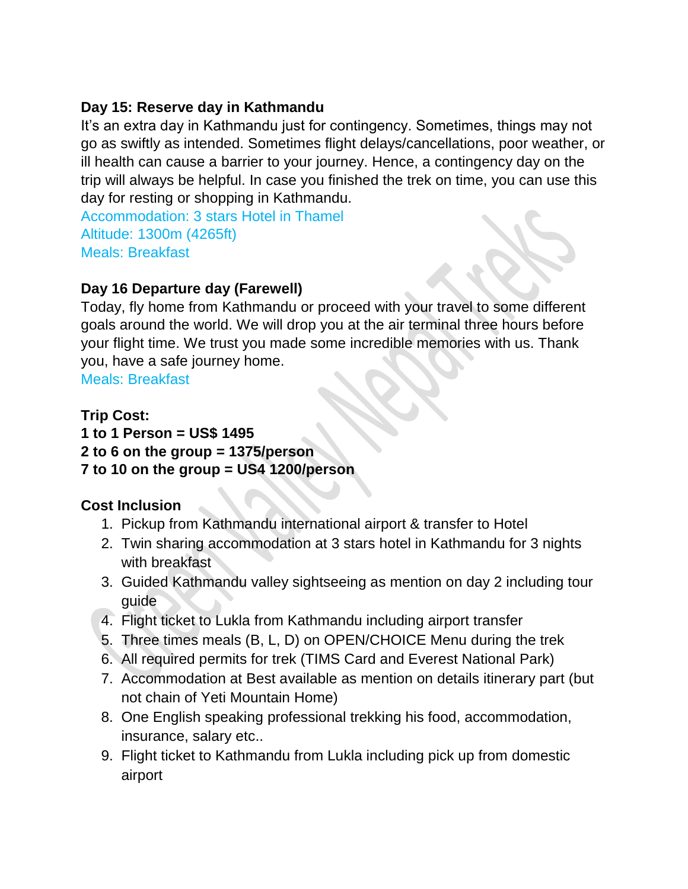## **Day 15: Reserve day in Kathmandu**

It's an extra day in Kathmandu just for contingency. Sometimes, things may not go as swiftly as intended. Sometimes flight delays/cancellations, poor weather, or ill health can cause a barrier to your journey. Hence, a contingency day on the trip will always be helpful. In case you finished the trek on time, you can use this day for resting or shopping in Kathmandu.

Accommodation: 3 stars Hotel in Thamel Altitude: 1300m (4265ft) Meals: Breakfast

## **Day 16 Departure day (Farewell)**

Today, fly home from Kathmandu or proceed with your travel to some different goals around the world. We will drop you at the air terminal three hours before your flight time. We trust you made some incredible memories with us. Thank you, have a safe journey home.

Meals: Breakfast

## **Trip Cost:**

## **1 to 1 Person = US\$ 1495 2 to 6 on the group = 1375/person 7 to 10 on the group = US4 1200/person**

## **Cost Inclusion**

- 1. Pickup from Kathmandu international airport & transfer to Hotel
- 2. Twin sharing accommodation at 3 stars hotel in Kathmandu for 3 nights with breakfast
- 3. Guided Kathmandu valley sightseeing as mention on day 2 including tour guide
- 4. Flight ticket to Lukla from Kathmandu including airport transfer
- 5. Three times meals (B, L, D) on OPEN/CHOICE Menu during the trek
- 6. All required permits for trek (TIMS Card and Everest National Park)
- 7. Accommodation at Best available as mention on details itinerary part (but not chain of Yeti Mountain Home)
- 8. One English speaking professional trekking his food, accommodation, insurance, salary etc..
- 9. Flight ticket to Kathmandu from Lukla including pick up from domestic airport